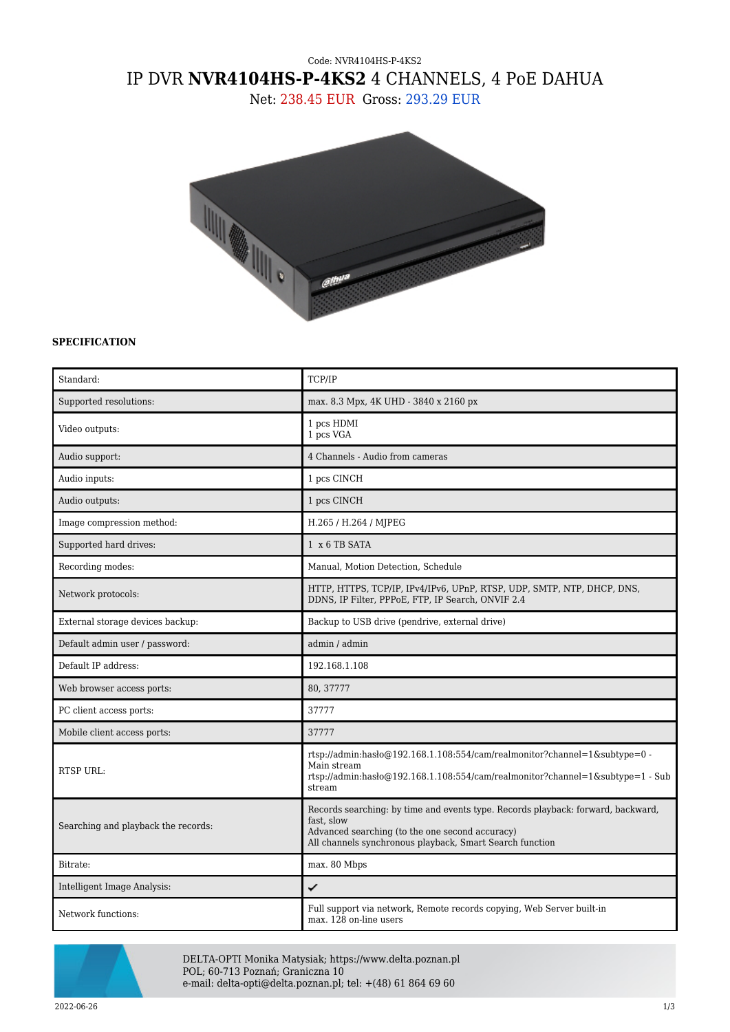## Code: NVR4104HS-P-4KS2 IP DVR **NVR4104HS-P-4KS2** 4 CHANNELS, 4 PoE DAHUA

Net: 238.45 EUR Gross: 293.29 EUR



## **SPECIFICATION**

| Standard:                           | TCP/IP                                                                                                                                                                                                        |
|-------------------------------------|---------------------------------------------------------------------------------------------------------------------------------------------------------------------------------------------------------------|
| Supported resolutions:              | max. 8.3 Mpx, 4K UHD - 3840 x 2160 px                                                                                                                                                                         |
| Video outputs:                      | 1 pcs HDMI<br>1 pcs VGA                                                                                                                                                                                       |
| Audio support:                      | 4 Channels - Audio from cameras                                                                                                                                                                               |
| Audio inputs:                       | 1 pcs CINCH                                                                                                                                                                                                   |
| Audio outputs:                      | 1 pcs CINCH                                                                                                                                                                                                   |
| Image compression method:           | H.265 / H.264 / MJPEG                                                                                                                                                                                         |
| Supported hard drives:              | 1 x 6 TB SATA                                                                                                                                                                                                 |
| Recording modes:                    | Manual, Motion Detection, Schedule                                                                                                                                                                            |
| Network protocols:                  | HTTP, HTTPS, TCP/IP, IPv4/IPv6, UPnP, RTSP, UDP, SMTP, NTP, DHCP, DNS,<br>DDNS, IP Filter, PPPoE, FTP, IP Search, ONVIF 2.4                                                                                   |
| External storage devices backup:    | Backup to USB drive (pendrive, external drive)                                                                                                                                                                |
| Default admin user / password:      | admin / admin                                                                                                                                                                                                 |
| Default IP address:                 | 192.168.1.108                                                                                                                                                                                                 |
| Web browser access ports:           | 80, 37777                                                                                                                                                                                                     |
| PC client access ports:             | 37777                                                                                                                                                                                                         |
| Mobile client access ports:         | 37777                                                                                                                                                                                                         |
| <b>RTSP URL:</b>                    | rtsp://admin:hasło@192.168.1.108:554/cam/realmonitor?channel=1&subtype=0 -<br>Main stream<br>rtsp://admin:hasło@192.168.1.108:554/cam/realmonitor?channel=1&subtype=1 - Sub<br>stream                         |
| Searching and playback the records: | Records searching: by time and events type. Records playback: forward, backward,<br>fast, slow<br>Advanced searching (to the one second accuracy)<br>All channels synchronous playback, Smart Search function |
| Bitrate:                            | max. 80 Mbps                                                                                                                                                                                                  |
| Intelligent Image Analysis:         | ✓                                                                                                                                                                                                             |
| Network functions:                  | Full support via network, Remote records copying, Web Server built-in<br>max. 128 on-line users                                                                                                               |



DELTA-OPTI Monika Matysiak; https://www.delta.poznan.pl POL; 60-713 Poznań; Graniczna 10 e-mail: delta-opti@delta.poznan.pl; tel: +(48) 61 864 69 60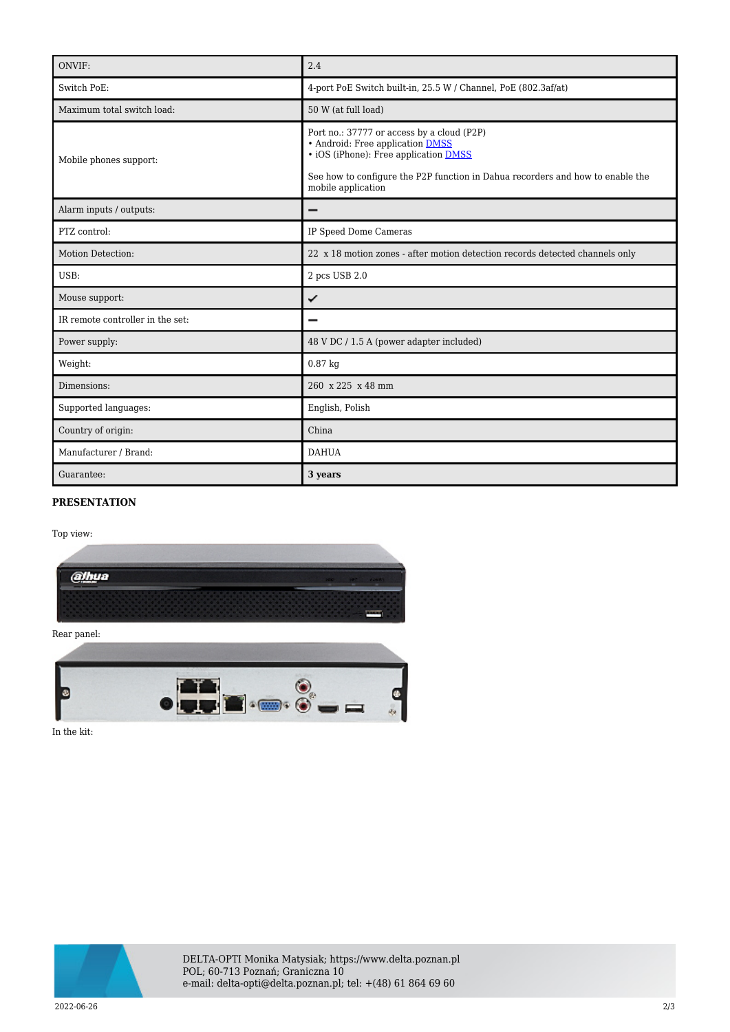| ONVIF:                           | 2.4                                                                                                                                                                                                                                    |
|----------------------------------|----------------------------------------------------------------------------------------------------------------------------------------------------------------------------------------------------------------------------------------|
| Switch PoE:                      | 4-port PoE Switch built-in, 25.5 W / Channel, PoE (802.3af/at)                                                                                                                                                                         |
| Maximum total switch load:       | 50 W (at full load)                                                                                                                                                                                                                    |
| Mobile phones support:           | Port no.: 37777 or access by a cloud (P2P)<br>• Android: Free application DMSS<br>• iOS (iPhone): Free application <b>DMSS</b><br>See how to configure the P2P function in Dahua recorders and how to enable the<br>mobile application |
| Alarm inputs / outputs:          |                                                                                                                                                                                                                                        |
| PTZ control:                     | IP Speed Dome Cameras                                                                                                                                                                                                                  |
| Motion Detection:                | 22 x 18 motion zones - after motion detection records detected channels only                                                                                                                                                           |
| USB:                             | 2 pcs USB 2.0                                                                                                                                                                                                                          |
| Mouse support:                   | ✓                                                                                                                                                                                                                                      |
| IR remote controller in the set: |                                                                                                                                                                                                                                        |
| Power supply:                    | 48 V DC / 1.5 A (power adapter included)                                                                                                                                                                                               |
| Weight:                          | $0.87$ kg                                                                                                                                                                                                                              |
| Dimensions:                      | 260 x 225 x 48 mm                                                                                                                                                                                                                      |
| Supported languages:             | English, Polish                                                                                                                                                                                                                        |
| Country of origin:               | China                                                                                                                                                                                                                                  |
| Manufacturer / Brand:            | <b>DAHUA</b>                                                                                                                                                                                                                           |
| Guarantee:                       | 3 years                                                                                                                                                                                                                                |

## **PRESENTATION**

Top view:



Rear panel:



In the kit: